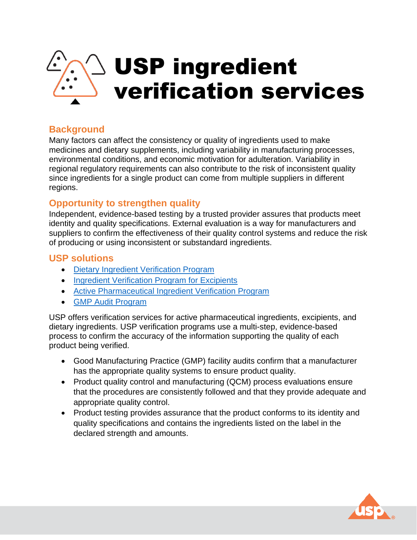

# **Background**

Many factors can affect the consistency or quality of ingredients used to make medicines and dietary supplements, including variability in manufacturing processes, environmental conditions, and economic motivation for adulteration. Variability in regional regulatory requirements can also contribute to the risk of inconsistent quality since ingredients for a single product can come from multiple suppliers in different regions.

## **Opportunity to strengthen quality**

Independent, evidence-based testing by a trusted provider assures that products meet identity and quality specifications. External evaluation is a way for manufacturers and suppliers to confirm the effectiveness of their quality control systems and reduce the risk of producing or using inconsistent or substandard ingredients.

### **USP solutions**

- [Dietary Ingredient Verification Program](https://www.usp.org/verification-services/dietary-ingredient-verification)
- [Ingredient Verification Program for Excipients](https://www.usp.org/sites/default/files/usp/document/our-work/verification-services/excipient-verification-program-manual.pdf)
- [Active Pharmaceutical Ingredient Verification Program](https://www.usp.org/verification-services/api-verification-program)
- [GMP Audit Program](https://www.usp.org/verification-services/gmp-audit-program)

USP offers verification services for active pharmaceutical ingredients, excipients, and dietary ingredients. USP verification programs use a multi-step, evidence-based process to confirm the accuracy of the information supporting the quality of each product being verified.

- Good Manufacturing Practice (GMP) facility audits confirm that a manufacturer has the appropriate quality systems to ensure product quality.
- Product quality control and manufacturing (QCM) process evaluations ensure that the procedures are consistently followed and that they provide adequate and appropriate quality control.
- Product testing provides assurance that the product conforms to its identity and quality specifications and contains the ingredients listed on the label in the declared strength and amounts.